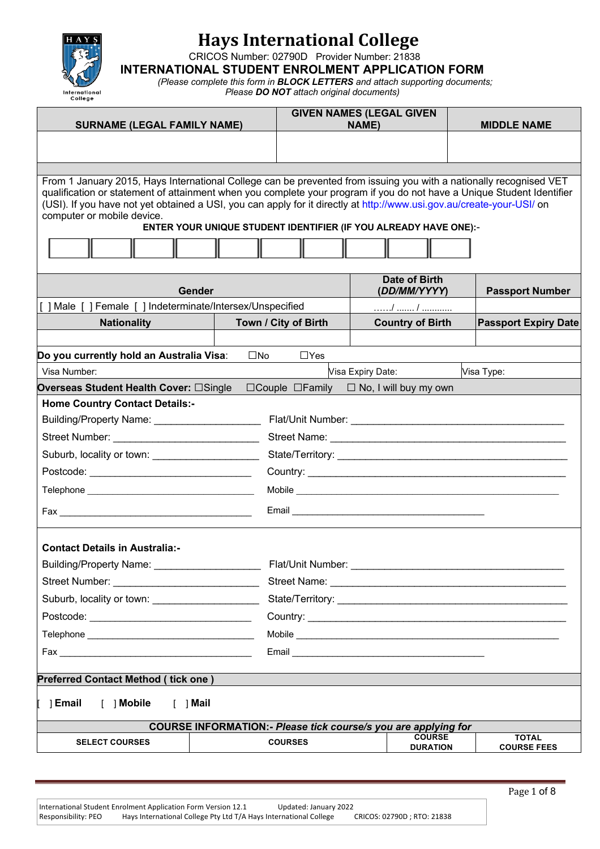

CRICOS Number: 02790D Provider Number: 21838

**INTERNATIONAL STUDENT ENROLMENT APPLICATION FORM**

*(Please complete this form in BLOCK LETTERS and attach supporting documents; Please DO NOT attach original documents)*

| <b>SURNAME (LEGAL FAMILY NAME)</b>                                                                                                                                                                                                                                                                                                                                                                  |              |                      | <b>GIVEN NAMES (LEGAL GIVEN</b><br>NAME)                              | <b>MIDDLE NAME</b>                 |
|-----------------------------------------------------------------------------------------------------------------------------------------------------------------------------------------------------------------------------------------------------------------------------------------------------------------------------------------------------------------------------------------------------|--------------|----------------------|-----------------------------------------------------------------------|------------------------------------|
|                                                                                                                                                                                                                                                                                                                                                                                                     |              |                      |                                                                       |                                    |
|                                                                                                                                                                                                                                                                                                                                                                                                     |              |                      |                                                                       |                                    |
|                                                                                                                                                                                                                                                                                                                                                                                                     |              |                      |                                                                       |                                    |
| From 1 January 2015, Hays International College can be prevented from issuing you with a nationally recognised VET<br>qualification or statement of attainment when you complete your program if you do not have a Unique Student Identifier<br>(USI). If you have not yet obtained a USI, you can apply for it directly at http://www.usi.gov.au/create-your-USI/ on<br>computer or mobile device. |              |                      | ENTER YOUR UNIQUE STUDENT IDENTIFIER (IF YOU ALREADY HAVE ONE):-      |                                    |
|                                                                                                                                                                                                                                                                                                                                                                                                     |              |                      |                                                                       |                                    |
| Gender                                                                                                                                                                                                                                                                                                                                                                                              |              |                      | <b>Date of Birth</b><br>(DD/MM/YYYY)                                  | <b>Passport Number</b>             |
| ] Male [ ] Female [ ] Indeterminate/Intersex/Unspecified                                                                                                                                                                                                                                                                                                                                            |              |                      |                                                                       |                                    |
| <b>Nationality</b>                                                                                                                                                                                                                                                                                                                                                                                  |              | Town / City of Birth | <b>Country of Birth</b>                                               | <b>Passport Expiry Date</b>        |
|                                                                                                                                                                                                                                                                                                                                                                                                     |              |                      |                                                                       |                                    |
| Do you currently hold an Australia Visa:                                                                                                                                                                                                                                                                                                                                                            | $\square$ No | $\Box$ Yes           |                                                                       |                                    |
| Visa Number:                                                                                                                                                                                                                                                                                                                                                                                        |              |                      | Visa Expiry Date:                                                     | Visa Type:                         |
| Overseas Student Health Cover: □Single                                                                                                                                                                                                                                                                                                                                                              |              |                      | $\Box$ Couple $\Box$ Family $\Box$ No, I will buy my own              |                                    |
| <b>Home Country Contact Details:-</b>                                                                                                                                                                                                                                                                                                                                                               |              |                      |                                                                       |                                    |
| Building/Property Name: _______________________                                                                                                                                                                                                                                                                                                                                                     |              |                      |                                                                       |                                    |
|                                                                                                                                                                                                                                                                                                                                                                                                     |              |                      |                                                                       |                                    |
| Suburb, locality or town: ________________________                                                                                                                                                                                                                                                                                                                                                  |              |                      |                                                                       |                                    |
|                                                                                                                                                                                                                                                                                                                                                                                                     |              |                      |                                                                       |                                    |
|                                                                                                                                                                                                                                                                                                                                                                                                     |              |                      |                                                                       |                                    |
|                                                                                                                                                                                                                                                                                                                                                                                                     |              |                      |                                                                       |                                    |
| <b>Contact Details in Australia:-</b>                                                                                                                                                                                                                                                                                                                                                               |              |                      |                                                                       |                                    |
|                                                                                                                                                                                                                                                                                                                                                                                                     |              |                      |                                                                       |                                    |
|                                                                                                                                                                                                                                                                                                                                                                                                     |              |                      |                                                                       |                                    |
| Suburb, locality or town: ______________________                                                                                                                                                                                                                                                                                                                                                    |              |                      |                                                                       |                                    |
|                                                                                                                                                                                                                                                                                                                                                                                                     |              |                      | Country: Country:                                                     |                                    |
|                                                                                                                                                                                                                                                                                                                                                                                                     |              |                      |                                                                       |                                    |
|                                                                                                                                                                                                                                                                                                                                                                                                     |              |                      |                                                                       |                                    |
| <b>Preferred Contact Method (tick one)</b>                                                                                                                                                                                                                                                                                                                                                          |              |                      |                                                                       |                                    |
| 1 Email<br>[ ] Mobile<br>$[$ ] Mail                                                                                                                                                                                                                                                                                                                                                                 |              |                      |                                                                       |                                    |
|                                                                                                                                                                                                                                                                                                                                                                                                     |              |                      | <b>COURSE INFORMATION:- Please tick course/s you are applying for</b> |                                    |
| <b>SELECT COURSES</b>                                                                                                                                                                                                                                                                                                                                                                               |              | <b>COURSES</b>       | <b>COURSE</b><br><b>DURATION</b>                                      | <b>TOTAL</b><br><b>COURSE FEES</b> |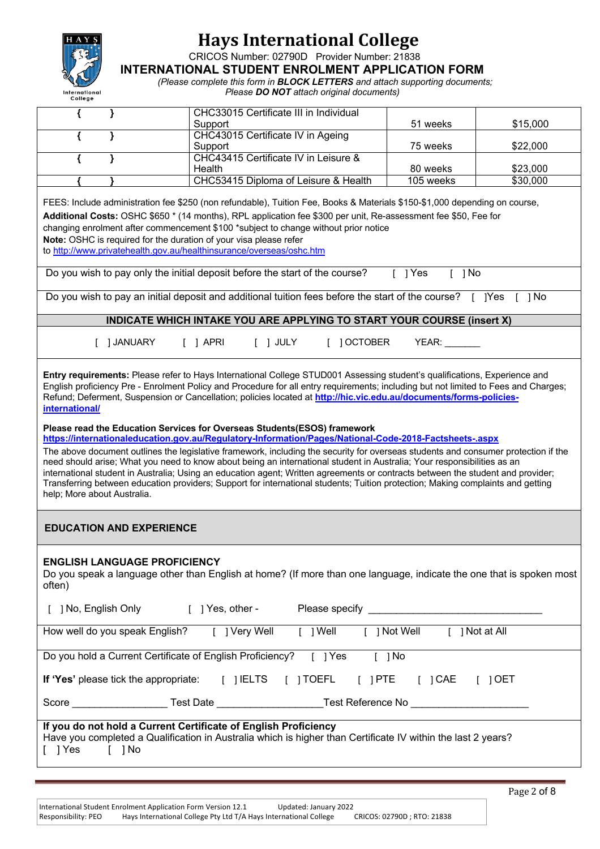

CRICOS Number: 02790D Provider Number: 21838

**INTERNATIONAL STUDENT ENROLMENT APPLICATION FORM**

*(Please complete this form in BLOCK LETTERS and attach supporting documents;*

*Please DO NOT attach original documents)*

| }                                                                                                                                                                     | CHC33015 Certificate III in Individual                                                                                                                                                                                                                                                                                                                                                                                                                                                                                                                                                                                                                                                                                    |                                      |                      |          |  |
|-----------------------------------------------------------------------------------------------------------------------------------------------------------------------|---------------------------------------------------------------------------------------------------------------------------------------------------------------------------------------------------------------------------------------------------------------------------------------------------------------------------------------------------------------------------------------------------------------------------------------------------------------------------------------------------------------------------------------------------------------------------------------------------------------------------------------------------------------------------------------------------------------------------|--------------------------------------|----------------------|----------|--|
|                                                                                                                                                                       | Support                                                                                                                                                                                                                                                                                                                                                                                                                                                                                                                                                                                                                                                                                                                   |                                      | 51 weeks             | \$15,000 |  |
| ł                                                                                                                                                                     | CHC43015 Certificate IV in Ageing<br>Support                                                                                                                                                                                                                                                                                                                                                                                                                                                                                                                                                                                                                                                                              |                                      | 75 weeks             | \$22,000 |  |
| ł                                                                                                                                                                     | CHC43415 Certificate IV in Leisure &                                                                                                                                                                                                                                                                                                                                                                                                                                                                                                                                                                                                                                                                                      |                                      |                      |          |  |
|                                                                                                                                                                       | Health                                                                                                                                                                                                                                                                                                                                                                                                                                                                                                                                                                                                                                                                                                                    |                                      | 80 weeks             | \$23,000 |  |
|                                                                                                                                                                       |                                                                                                                                                                                                                                                                                                                                                                                                                                                                                                                                                                                                                                                                                                                           | CHC53415 Diploma of Leisure & Health | 105 weeks            | \$30,000 |  |
|                                                                                                                                                                       | FEES: Include administration fee \$250 (non refundable), Tuition Fee, Books & Materials \$150-\$1,000 depending on course,<br>Additional Costs: OSHC \$650 * (14 months), RPL application fee \$300 per unit, Re-assessment fee \$50, Fee for<br>changing enrolment after commencement \$100 *subject to change without prior notice<br>Note: OSHC is required for the duration of your visa please refer<br>to http://www.privatehealth.gov.au/healthinsurance/overseas/oshc.htm                                                                                                                                                                                                                                         |                                      |                      |          |  |
|                                                                                                                                                                       | Do you wish to pay only the initial deposit before the start of the course? [ ] Yes                                                                                                                                                                                                                                                                                                                                                                                                                                                                                                                                                                                                                                       |                                      | $\lceil$ $\rceil$ No |          |  |
|                                                                                                                                                                       | Do you wish to pay an initial deposit and additional tuition fees before the start of the course? [ ] Yes                                                                                                                                                                                                                                                                                                                                                                                                                                                                                                                                                                                                                 |                                      |                      | ⊺ 1No    |  |
|                                                                                                                                                                       | <b>INDICATE WHICH INTAKE YOU ARE APPLYING TO START YOUR COURSE (insert X)</b>                                                                                                                                                                                                                                                                                                                                                                                                                                                                                                                                                                                                                                             |                                      |                      |          |  |
| [ ] JANUARY                                                                                                                                                           | $\lceil$ $\rceil$ APRI                                                                                                                                                                                                                                                                                                                                                                                                                                                                                                                                                                                                                                                                                                    | $[$ ] JULY<br>[ ] OCTOBER            | <b>YEAR:</b>         |          |  |
| help; More about Australia.                                                                                                                                           | Please read the Education Services for Overseas Students(ESOS) framework<br>https://internationaleducation.gov.au/Regulatory-Information/Pages/National-Code-2018-Factsheets-.aspx<br>The above document outlines the legislative framework, including the security for overseas students and consumer protection if the<br>need should arise; What you need to know about being an international student in Australia; Your responsibilities as an<br>international student in Australia; Using an education agent; Written agreements or contracts between the student and provider;<br>Transferring between education providers; Support for international students; Tuition protection; Making complaints and getting |                                      |                      |          |  |
| <b>EDUCATION AND EXPERIENCE</b>                                                                                                                                       |                                                                                                                                                                                                                                                                                                                                                                                                                                                                                                                                                                                                                                                                                                                           |                                      |                      |          |  |
| <b>ENGLISH LANGUAGE PROFICIENCY</b><br>Do you speak a language other than English at home? (If more than one language, indicate the one that is spoken most<br>often) |                                                                                                                                                                                                                                                                                                                                                                                                                                                                                                                                                                                                                                                                                                                           |                                      |                      |          |  |
|                                                                                                                                                                       | [ ] No, English Only [ ] Yes, other - Please specify ___________________________                                                                                                                                                                                                                                                                                                                                                                                                                                                                                                                                                                                                                                          |                                      |                      |          |  |
|                                                                                                                                                                       | How well do you speak English? [ ] Very Well [ ] Well [ ] Not Well [ ] Not at All                                                                                                                                                                                                                                                                                                                                                                                                                                                                                                                                                                                                                                         |                                      |                      |          |  |
| Do you hold a Current Certificate of English Proficiency? [ ] Yes<br>$\lceil$ $\rceil$ No                                                                             |                                                                                                                                                                                                                                                                                                                                                                                                                                                                                                                                                                                                                                                                                                                           |                                      |                      |          |  |
|                                                                                                                                                                       | If 'Yes' please tick the appropriate: [ ] IELTS [ ] TOEFL [ ] PTE [ ] CAE [ ] OET                                                                                                                                                                                                                                                                                                                                                                                                                                                                                                                                                                                                                                         |                                      |                      |          |  |
|                                                                                                                                                                       | Score ________________________Test Date _____________________________Test Reference No _______________________                                                                                                                                                                                                                                                                                                                                                                                                                                                                                                                                                                                                            |                                      |                      |          |  |
| $[$ ] Yes<br>$\lceil$ $\rceil$ No                                                                                                                                     | If you do not hold a Current Certificate of English Proficiency<br>Have you completed a Qualification in Australia which is higher than Certificate IV within the last 2 years?                                                                                                                                                                                                                                                                                                                                                                                                                                                                                                                                           |                                      |                      |          |  |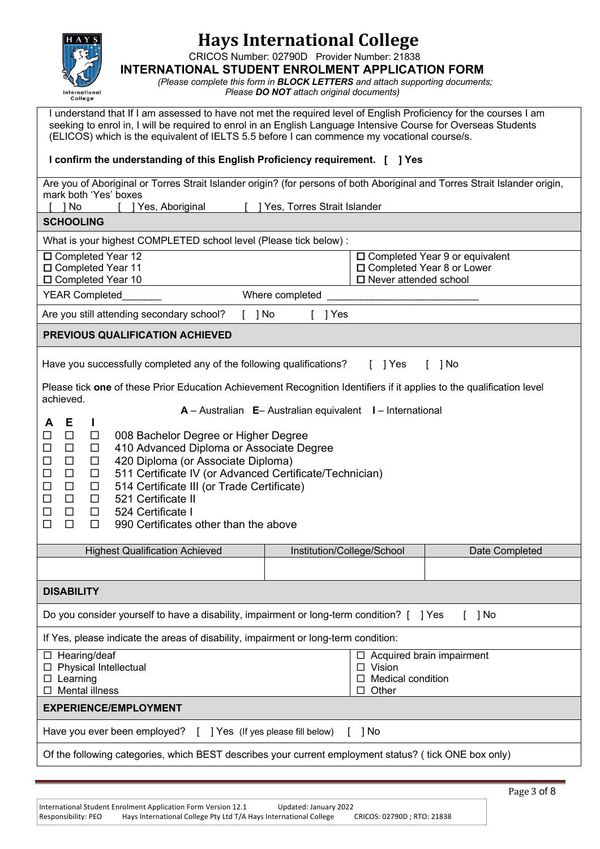

CRICOS Number: 02790D Provider Number: 21838

**INTERNATIONAL STUDENT ENROLMENT APPLICATION FORM**

*(Please complete this form in BLOCK LETTERS and attach supporting documents; Please DO NOT attach original documents)*

I understand that If I am assessed to have not met the required level of English Proficiency for the courses I am seeking to enrol in, I will be required to enrol in an English Language Intensive Course for Overseas Students (ELICOS) which is the equivalent of IELTS 5.5 before I can commence my vocational course/s.

## **I confirm the understanding of this English Proficiency requirement. [ ] Yes**

| Are you of Aboriginal or Torres Strait Islander origin? (for persons of both Aboriginal and Torres Strait Islander origin,<br>mark both 'Yes' boxes          |                                                                                       |                |                |  |  |  |
|--------------------------------------------------------------------------------------------------------------------------------------------------------------|---------------------------------------------------------------------------------------|----------------|----------------|--|--|--|
| 1 No<br>Yes, Torres Strait Islander<br>] Yes, Aboriginal                                                                                                     |                                                                                       |                |                |  |  |  |
| <b>SCHOOLING</b>                                                                                                                                             |                                                                                       |                |                |  |  |  |
| What is your highest COMPLETED school level (Please tick below) :                                                                                            |                                                                                       |                |                |  |  |  |
| □ Completed Year 12<br>$\square$ Completed Year 9 or equivalent                                                                                              |                                                                                       |                |                |  |  |  |
| □ Completed Year 10                                                                                                                                          | □ Completed Year 11<br>□ Completed Year 8 or Lower<br>$\square$ Never attended school |                |                |  |  |  |
| <b>YEAR Completed</b>                                                                                                                                        | Where completed                                                                       |                |                |  |  |  |
| Are you still attending secondary school?<br>$[$ ] No                                                                                                        | $[$ ] Yes                                                                             |                |                |  |  |  |
| PREVIOUS QUALIFICATION ACHIEVED                                                                                                                              |                                                                                       |                |                |  |  |  |
| Have you successfully completed any of the following qualifications?                                                                                         |                                                                                       | $\lceil$   Yes | 1 No           |  |  |  |
| Please tick one of these Prior Education Achievement Recognition Identifiers if it applies to the qualification level<br>achieved.                           |                                                                                       |                |                |  |  |  |
|                                                                                                                                                              | $A -$ Australian $E -$ Australian equivalent $I -$ International                      |                |                |  |  |  |
| Е<br>А<br>п<br>$\Box$<br>008 Bachelor Degree or Higher Degree<br>$\Box$                                                                                      |                                                                                       |                |                |  |  |  |
| 410 Advanced Diploma or Associate Degree<br>$\Box$<br>$\Box$                                                                                                 |                                                                                       |                |                |  |  |  |
| 420 Diploma (or Associate Diploma)<br>$\Box$<br>$\Box$<br>⊔                                                                                                  |                                                                                       |                |                |  |  |  |
| $\Box$<br>511 Certificate IV (or Advanced Certificate/Technician)<br>$\Box$<br>$\Box$<br>514 Certificate III (or Trade Certificate)<br>$\Box$<br>$\Box$<br>ப |                                                                                       |                |                |  |  |  |
| 521 Certificate II<br>$\Box$<br>$\Box$<br>□                                                                                                                  |                                                                                       |                |                |  |  |  |
| 524 Certificate I<br>$\Box$<br>$\Box$<br>$\Box$                                                                                                              |                                                                                       |                |                |  |  |  |
| $\Box$<br>990 Certificates other than the above<br>$\Box$<br>□                                                                                               |                                                                                       |                |                |  |  |  |
| <b>Highest Qualification Achieved</b>                                                                                                                        | Institution/College/School                                                            |                | Date Completed |  |  |  |
|                                                                                                                                                              |                                                                                       |                |                |  |  |  |
| <b>DISABILITY</b>                                                                                                                                            |                                                                                       |                |                |  |  |  |
| Do you consider yourself to have a disability, impairment or long-term condition? [ ] Yes<br>1 No                                                            |                                                                                       |                |                |  |  |  |
| If Yes, please indicate the areas of disability, impairment or long-term condition:                                                                          |                                                                                       |                |                |  |  |  |
| $\Box$ Hearing/deaf<br>$\Box$ Acquired brain impairment                                                                                                      |                                                                                       |                |                |  |  |  |
| $\Box$ Physical Intellectual<br>$\Box$ Vision<br>Medical condition<br>$\Box$ Learning<br>$\Box$                                                              |                                                                                       |                |                |  |  |  |
| <b>Mental illness</b><br>$\Box$ Other                                                                                                                        |                                                                                       |                |                |  |  |  |
| <b>EXPERIENCE/EMPLOYMENT</b>                                                                                                                                 |                                                                                       |                |                |  |  |  |
| Have you ever been employed?<br>[ ] Yes (If yes please fill below)<br>1 No                                                                                   |                                                                                       |                |                |  |  |  |
| Of the following categories, which BEST describes your current employment status? (tick ONE box only)                                                        |                                                                                       |                |                |  |  |  |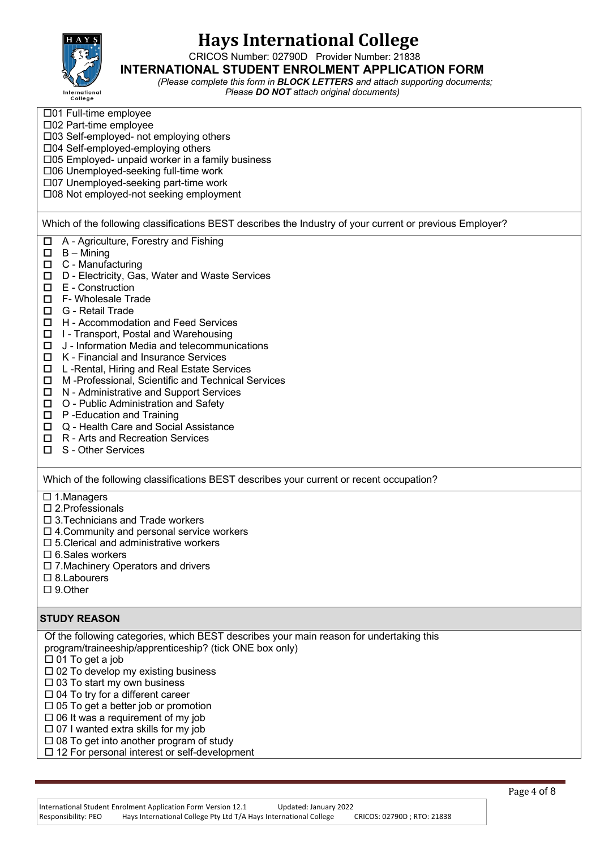

CRICOS Number: 02790D Provider Number: 21838

#### **INTERNATIONAL STUDENT ENROLMENT APPLICATION FORM**

*(Please complete this form in BLOCK LETTERS and attach supporting documents; Please DO NOT attach original documents)*

| $\Box$ 01 Full-time employee<br>□02 Part-time employee<br>□03 Self-employed- not employing others<br>□04 Self-employed-employing others<br>□05 Employed- unpaid worker in a family business<br>□06 Unemployed-seeking full-time work<br>□07 Unemployed-seeking part-time work<br>□08 Not employed-not seeking employment                                                                                                                                                                                                                                                                                                                                                                                                                                                                                                           |
|------------------------------------------------------------------------------------------------------------------------------------------------------------------------------------------------------------------------------------------------------------------------------------------------------------------------------------------------------------------------------------------------------------------------------------------------------------------------------------------------------------------------------------------------------------------------------------------------------------------------------------------------------------------------------------------------------------------------------------------------------------------------------------------------------------------------------------|
| Which of the following classifications BEST describes the Industry of your current or previous Employer?                                                                                                                                                                                                                                                                                                                                                                                                                                                                                                                                                                                                                                                                                                                           |
| A - Agriculture, Forestry and Fishing<br>□<br>$\Box$<br>$B -$ Mining<br>C - Manufacturing<br>$\Box$<br>D - Electricity, Gas, Water and Waste Services<br>$\Box$<br>E - Construction<br>□<br>□<br>F- Wholesale Trade<br>G - Retail Trade<br>□<br>$\Box$<br>H - Accommodation and Feed Services<br>□<br>I - Transport, Postal and Warehousing<br>J - Information Media and telecommunications<br>$\Box$<br>$\Box$<br>K - Financial and Insurance Services<br>L-Rental, Hiring and Real Estate Services<br>$\Box$<br>M-Professional, Scientific and Technical Services<br>□<br>N - Administrative and Support Services<br>$\Box$<br>O - Public Administration and Safety<br>□<br>P-Education and Training<br>$\Box$<br>Q - Health Care and Social Assistance<br>□<br>R - Arts and Recreation Services<br>□<br>S - Other Services<br>0 |
| Which of the following classifications BEST describes your current or recent occupation?                                                                                                                                                                                                                                                                                                                                                                                                                                                                                                                                                                                                                                                                                                                                           |
| $\Box$ 1. Managers<br>$\square$ 2. Professionals<br>$\Box$ 3. Technicians and Trade workers<br>$\Box$ 4. Community and personal service workers<br>$\square$ 5. Clerical and administrative workers<br>$\Box$ 6. Sales workers<br>$\Box$ 7. Machinery Operators and drivers                                                                                                                                                                                                                                                                                                                                                                                                                                                                                                                                                        |

- $\square$  8.Labourers
- □ 9.Other

#### **STUDY REASON**

Of the following categories, which BEST describes your main reason for undertaking this program/traineeship/apprenticeship? (tick ONE box only)

- $\Box$  01 To get a job
- $\square$  02 To develop my existing business
- $\square$  03 To start my own business
- $\square$  04 To try for a different career
- $\square$  05 To get a better job or promotion
- $\square$  06 It was a requirement of my job
- $\Box$  07 I wanted extra skills for my job
- $\square$  08 To get into another program of study
- $\square$  12 For personal interest or self-development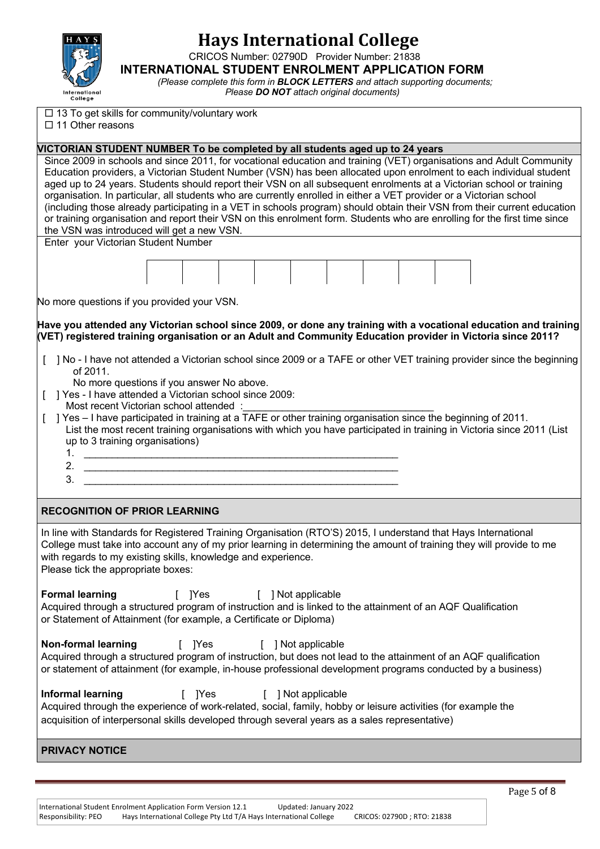

CRICOS Number: 02790D Provider Number: 21838

**INTERNATIONAL STUDENT ENROLMENT APPLICATION FORM**

*(Please complete this form in BLOCK LETTERS and attach supporting documents; Please DO NOT attach original documents)*

 $\square$  13 To get skills for community/voluntary work

 $\square$  11 Other reasons

#### **VICTORIAN STUDENT NUMBER To be completed by all students aged up to 24 years**

Since 2009 in schools and since 2011, for vocational education and training (VET) organisations and Adult Community Education providers, a Victorian Student Number (VSN) has been allocated upon enrolment to each individual student aged up to 24 years. Students should report their VSN on all subsequent enrolments at a Victorian school or training organisation. In particular, all students who are currently enrolled in either a VET provider or a Victorian school (including those already participating in a VET in schools program) should obtain their VSN from their current education or training organisation and report their VSN on this enrolment form. Students who are enrolling for the first time since the VSN was introduced will get a new VSN.

Enter your Victorian Student Number

No more questions if you provided your VSN.

**Have you attended any Victorian school since 2009, or done any training with a vocational education and training (VET) registered training organisation or an Adult and Community Education provider in Victoria since 2011?** 

- [ ] No I have not attended a Victorian school since 2009 or a TAFE or other VET training provider since the beginning of 2011.
	- No more questions if you answer No above.
- [ ] Yes I have attended a Victorian school since 2009:
- Most recent Victorian school attended :

[ ] Yes – I have participated in training at a  $\overline{TAFE}$  or other training organisation since the beginning of 2011. List the most recent training organisations with which you have participated in training in Victoria since 2011 (List up to 3 training organisations)

- 1. \_\_\_\_\_\_\_\_\_\_\_\_\_\_\_\_\_\_\_\_\_\_\_\_\_\_\_\_\_\_\_\_\_\_\_\_\_\_\_\_\_\_\_\_\_\_\_\_\_\_\_\_\_\_\_\_ 2. \_\_\_\_\_\_\_\_\_\_\_\_\_\_\_\_\_\_\_\_\_\_\_\_\_\_\_\_\_\_\_\_\_\_\_\_\_\_\_\_\_\_\_\_\_\_\_\_\_\_\_\_\_\_\_\_
- 3. \_\_\_\_\_\_\_\_\_\_\_\_\_\_\_\_\_\_\_\_\_\_\_\_\_\_\_\_\_\_\_\_\_\_\_\_\_\_\_\_\_\_\_\_\_\_\_\_\_\_\_\_\_\_\_\_
- **RECOGNITION OF PRIOR LEARNING**

In line with Standards for Registered Training Organisation (RTO'S) 2015, I understand that Hays International College must take into account any of my prior learning in determining the amount of training they will provide to me with regards to my existing skills, knowledge and experience. Please tick the appropriate boxes:

**Formal learning** [ ]Yes [ ] Not applicable Acquired through a structured program of instruction and is linked to the attainment of an AQF Qualification or Statement of Attainment (for example, a Certificate or Diploma)

**Non-formal learning** [ ]Yes [ ] Not applicable Acquired through a structured program of instruction, but does not lead to the attainment of an AQF qualification or statement of attainment (for example, in-house professional development programs conducted by a business)

**Informal learning** [ ]Yes [ ] Not applicable Acquired through the experience of work-related, social, family, hobby or leisure activities (for example the acquisition of interpersonal skills developed through several years as a sales representative)

**PRIVACY NOTICE**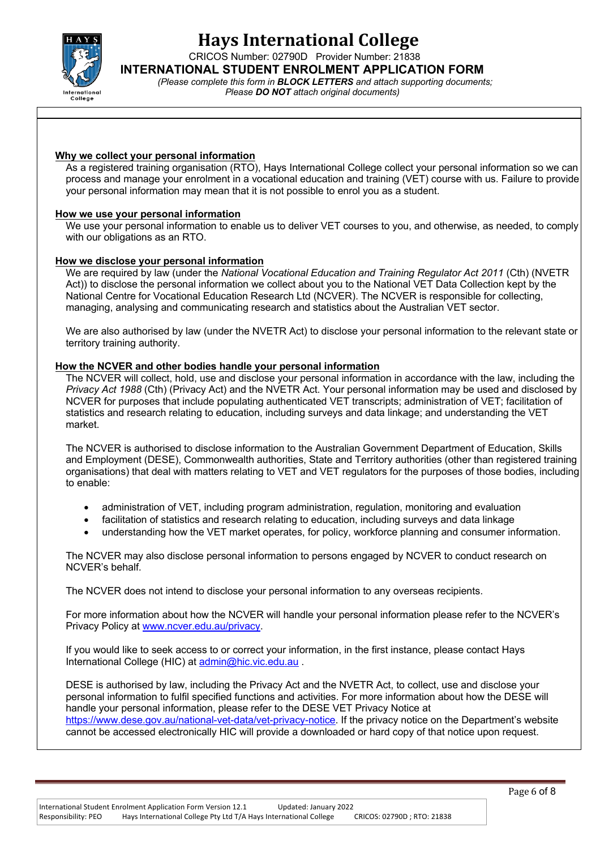

CRICOS Number: 02790D Provider Number: 21838

**INTERNATIONAL STUDENT ENROLMENT APPLICATION FORM**

*(Please complete this form in BLOCK LETTERS and attach supporting documents; Please DO NOT attach original documents)*

#### **Why we collect your personal information**

As a registered training organisation (RTO), Hays International College collect your personal information so we can process and manage your enrolment in a vocational education and training (VET) course with us. Failure to provide your personal information may mean that it is not possible to enrol you as a student.

#### **How we use your personal information**

We use your personal information to enable us to deliver VET courses to you, and otherwise, as needed, to comply with our obligations as an RTO.

#### **How we disclose your personal information**

We are required by law (under the *National Vocational Education and Training Regulator Act 2011* (Cth) (NVETR Act)) to disclose the personal information we collect about you to the National VET Data Collection kept by the National Centre for Vocational Education Research Ltd (NCVER). The NCVER is responsible for collecting, managing, analysing and communicating research and statistics about the Australian VET sector.

We are also authorised by law (under the NVETR Act) to disclose your personal information to the relevant state or territory training authority.

#### **How the NCVER and other bodies handle your personal information**

The NCVER will collect, hold, use and disclose your personal information in accordance with the law, including the *Privacy Act 1988* (Cth) (Privacy Act) and the NVETR Act. Your personal information may be used and disclosed by NCVER for purposes that include populating authenticated VET transcripts; administration of VET; facilitation of statistics and research relating to education, including surveys and data linkage; and understanding the VET market.

The NCVER is authorised to disclose information to the Australian Government Department of Education, Skills and Employment (DESE), Commonwealth authorities, State and Territory authorities (other than registered training organisations) that deal with matters relating to VET and VET regulators for the purposes of those bodies, including to enable:

- administration of VET, including program administration, regulation, monitoring and evaluation
- facilitation of statistics and research relating to education, including surveys and data linkage
- understanding how the VET market operates, for policy, workforce planning and consumer information.

The NCVER may also disclose personal information to persons engaged by NCVER to conduct research on NCVER's behalf.

The NCVER does not intend to disclose your personal information to any overseas recipients.

For more information about how the NCVER will handle your personal information please refer to the NCVER's Privacy Policy at www.ncver.edu.au/privacy.

If you would like to seek access to or correct your information, in the first instance, please contact Hays International College (HIC) at admin@hic.vic.edu.au .

DESE is authorised by law, including the Privacy Act and the NVETR Act, to collect, use and disclose your personal information to fulfil specified functions and activities. For more information about how the DESE will handle your personal information, please refer to the DESE VET Privacy Notice at https://www.dese.gov.au/national-vet-data/vet-privacy-notice. If the privacy notice on the Department's website cannot be accessed electronically HIC will provide a downloaded or hard copy of that notice upon request.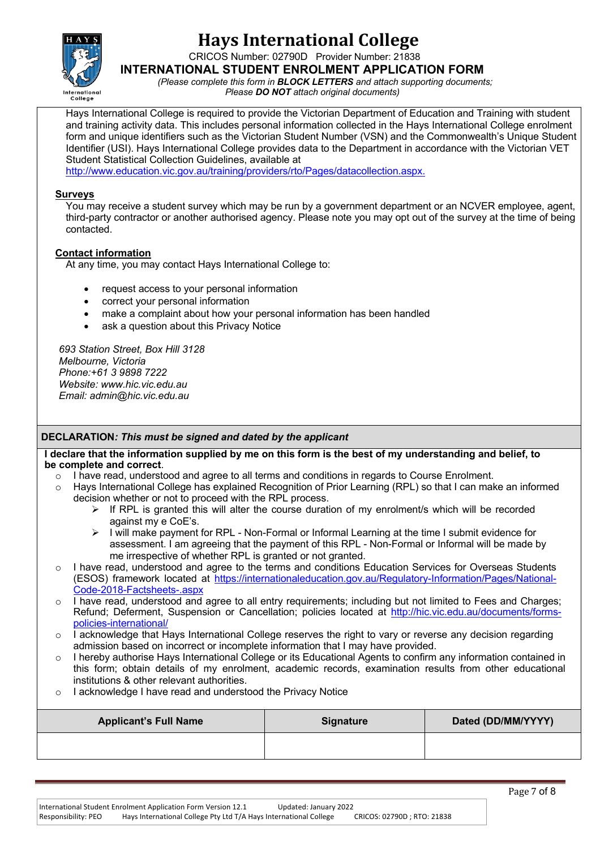

CRICOS Number: 02790D Provider Number: 21838

**INTERNATIONAL STUDENT ENROLMENT APPLICATION FORM**

*(Please complete this form in BLOCK LETTERS and attach supporting documents; Please DO NOT attach original documents)*

Hays International College is required to provide the Victorian Department of Education and Training with student and training activity data. This includes personal information collected in the Hays International College enrolment form and unique identifiers such as the Victorian Student Number (VSN) and the Commonwealth's Unique Student Identifier (USI). Hays International College provides data to the Department in accordance with the Victorian VET Student Statistical Collection Guidelines, available at

http://www.education.vic.gov.au/training/providers/rto/Pages/datacollection.aspx.

#### **Surveys**

You may receive a student survey which may be run by a government department or an NCVER employee, agent, third-party contractor or another authorised agency. Please note you may opt out of the survey at the time of being contacted.

### **Contact information**

At any time, you may contact Hays International College to:

- request access to your personal information
- correct your personal information
- make a complaint about how your personal information has been handled
- ask a question about this Privacy Notice

*693 Station Street, Box Hill 3128 Melbourne, Victoria Phone:+61 3 9898 7222 Website: www.hic.vic.edu.au Email: admin@hic.vic.edu.au*

### **DECLARATION***: This must be signed and dated by the applicant*

#### **I declare that the information supplied by me on this form is the best of my understanding and belief, to be complete and correct**.

- o I have read, understood and agree to all terms and conditions in regards to Course Enrolment.
- o Hays International College has explained Recognition of Prior Learning (RPL) so that I can make an informed decision whether or not to proceed with the RPL process.
	- $\triangleright$  If RPL is granted this will alter the course duration of my enrolment/s which will be recorded against my e CoE's.
	- $\triangleright$  I will make payment for RPL Non-Formal or Informal Learning at the time I submit evidence for assessment. I am agreeing that the payment of this RPL - Non-Formal or Informal will be made by me irrespective of whether RPL is granted or not granted.
- o I have read, understood and agree to the terms and conditions Education Services for Overseas Students (ESOS) framework located at https://internationaleducation.gov.au/Regulatory-Information/Pages/National-Code-2018-Factsheets-.aspx
- o I have read, understood and agree to all entry requirements; including but not limited to Fees and Charges; Refund; Deferment, Suspension or Cancellation; policies located at http://hic.vic.edu.au/documents/formspolicies-international/
- $\circ$  I acknowledge that Hays International College reserves the right to vary or reverse any decision regarding admission based on incorrect or incomplete information that I may have provided.
- o I hereby authorise Hays International College or its Educational Agents to confirm any information contained in this form; obtain details of my enrolment, academic records, examination results from other educational institutions & other relevant authorities.
- o I acknowledge I have read and understood the Privacy Notice

| <b>Applicant's Full Name</b> | <b>Signature</b> | Dated (DD/MM/YYYY) |
|------------------------------|------------------|--------------------|
|                              |                  |                    |